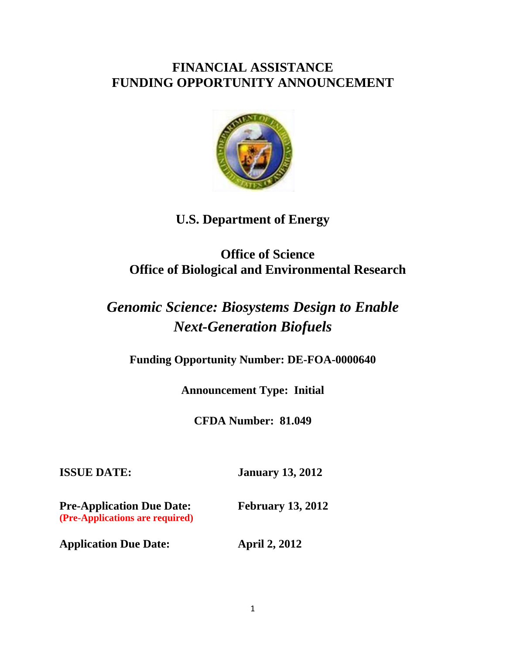## **FINANCIAL ASSISTANCE FUNDING OPPORTUNITY ANNOUNCEMENT**



# **U.S. Department of Energy**

# **Office of Science Office of Biological and Environmental Research**

# *Genomic Science: Biosystems Design to Enable Next-Generation Biofuels*

**Funding Opportunity Number: DE-FOA-0000640** 

**Announcement Type: Initial** 

**CFDA Number: 81.049** 

**ISSUE DATE: January 13, 2012** 

**Pre-Application Due Date: February 13, 2012 (Pre-Applications are required)** 

**Application Due Date: April 2, 2012**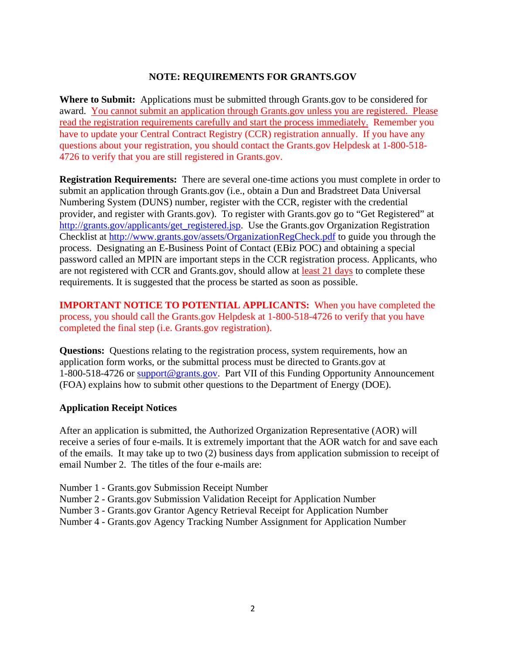#### **NOTE: REQUIREMENTS FOR GRANTS.GOV**

**Where to Submit:** Applications must be submitted through Grants.gov to be considered for award. You cannot submit an application through Grants.gov unless you are registered. Please read the registration requirements carefully and start the process immediately. Remember you have to update your Central Contract Registry (CCR) registration annually. If you have any questions about your registration, you should contact the Grants.gov Helpdesk at 1-800-518- 4726 to verify that you are still registered in Grants.gov.

**Registration Requirements:** There are several one-time actions you must complete in order to submit an application through Grants.gov (i.e., obtain a Dun and Bradstreet Data Universal Numbering System (DUNS) number, register with the CCR, register with the credential provider, and register with Grants.gov). To register with Grants.gov go to "Get Registered" at http://grants.gov/applicants/get\_registered.jsp. Use the Grants.gov Organization Registration Checklist at http://www.grants.gov/assets/OrganizationRegCheck.pdf to guide you through the process. Designating an E-Business Point of Contact (EBiz POC) and obtaining a special password called an MPIN are important steps in the CCR registration process. Applicants, who are not registered with CCR and Grants.gov, should allow at least 21 days to complete these requirements. It is suggested that the process be started as soon as possible.

**IMPORTANT NOTICE TO POTENTIAL APPLICANTS:** When you have completed the process, you should call the Grants.gov Helpdesk at 1-800-518-4726 to verify that you have completed the final step (i.e. Grants.gov registration).

**Questions:** Questions relating to the registration process, system requirements, how an application form works, or the submittal process must be directed to Grants.gov at 1-800-518-4726 or support@grants.gov. Part VII of this Funding Opportunity Announcement (FOA) explains how to submit other questions to the Department of Energy (DOE).

#### **Application Receipt Notices**

After an application is submitted, the Authorized Organization Representative (AOR) will receive a series of four e-mails. It is extremely important that the AOR watch for and save each of the emails. It may take up to two (2) business days from application submission to receipt of email Number 2. The titles of the four e-mails are:

- Number 1 Grants.gov Submission Receipt Number
- Number 2 Grants.gov Submission Validation Receipt for Application Number
- Number 3 Grants.gov Grantor Agency Retrieval Receipt for Application Number
- Number 4 Grants.gov Agency Tracking Number Assignment for Application Number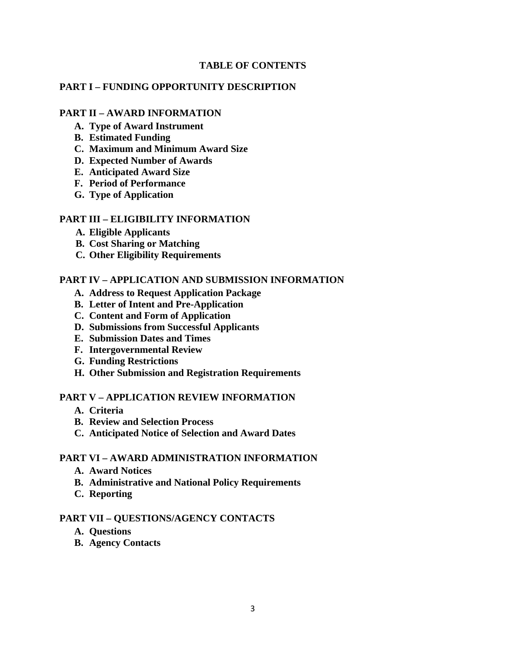#### **TABLE OF CONTENTS**

#### **PART I – FUNDING OPPORTUNITY DESCRIPTION**

#### **PART II – AWARD INFORMATION**

- **A. Type of Award Instrument**
- **B. Estimated Funding**
- **C. Maximum and Minimum Award Size**
- **D. Expected Number of Awards**
- **E. Anticipated Award Size**
- **F. Period of Performance**
- **G. Type of Application**

#### **PART III – ELIGIBILITY INFORMATION**

- **A. Eligible Applicants**
- **B. Cost Sharing or Matching**
- **C. Other Eligibility Requirements**

#### **PART IV – APPLICATION AND SUBMISSION INFORMATION**

- **A. Address to Request Application Package**
- **B. Letter of Intent and Pre-Application**
- **C. Content and Form of Application**
- **D. Submissions from Successful Applicants**
- **E. Submission Dates and Times**
- **F. Intergovernmental Review**
- **G. Funding Restrictions**
- **H. Other Submission and Registration Requirements**

#### **PART V – APPLICATION REVIEW INFORMATION**

- **A. Criteria**
- **B. Review and Selection Process**
- **C. Anticipated Notice of Selection and Award Dates**

#### **PART VI – AWARD ADMINISTRATION INFORMATION**

- **A. Award Notices**
- **B. Administrative and National Policy Requirements**
- **C. Reporting**

#### **PART VII – QUESTIONS/AGENCY CONTACTS**

- **A. Questions**
- **B. Agency Contacts**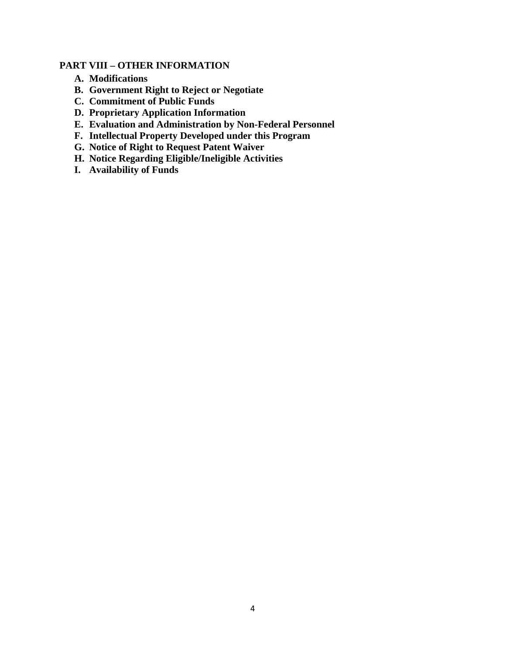## **PART VIII – OTHER INFORMATION**

- **A. Modifications**
- **B. Government Right to Reject or Negotiate**
- **C. Commitment of Public Funds**
- **D. Proprietary Application Information**
- **E. Evaluation and Administration by Non-Federal Personnel**
- **F. Intellectual Property Developed under this Program**
- **G. Notice of Right to Request Patent Waiver**
- **H. Notice Regarding Eligible/Ineligible Activities**
- **I. Availability of Funds**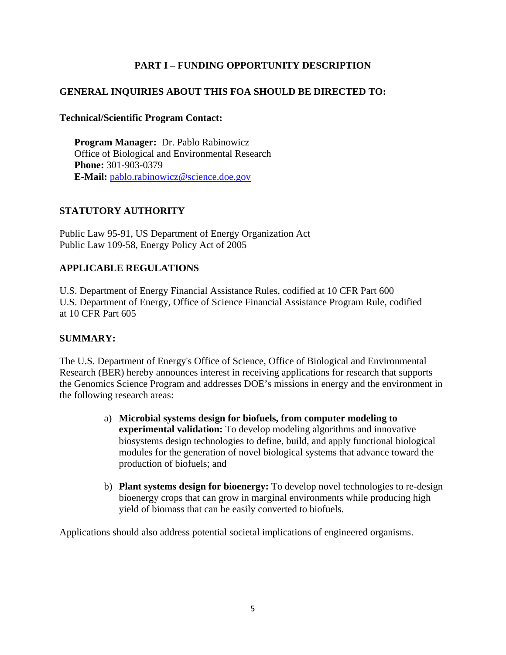## **PART I – FUNDING OPPORTUNITY DESCRIPTION**

## **GENERAL INQUIRIES ABOUT THIS FOA SHOULD BE DIRECTED TO:**

## **Technical/Scientific Program Contact:**

**Program Manager:** Dr. Pablo Rabinowicz Office of Biological and Environmental Research **Phone:** 301-903-0379 **E-Mail:** pablo.rabinowicz@science.doe.gov

## **STATUTORY AUTHORITY**

Public Law 95-91, US Department of Energy Organization Act Public Law 109-58, Energy Policy Act of 2005

## **APPLICABLE REGULATIONS**

U.S. Department of Energy Financial Assistance Rules, codified at 10 CFR Part 600 U.S. Department of Energy, Office of Science Financial Assistance Program Rule, codified at 10 CFR Part 605

## **SUMMARY:**

The U.S. Department of Energy's Office of Science, Office of Biological and Environmental Research (BER) hereby announces interest in receiving applications for research that supports the Genomics Science Program and addresses DOE's missions in energy and the environment in the following research areas:

- a) **Microbial systems design for biofuels, from computer modeling to experimental validation:** To develop modeling algorithms and innovative biosystems design technologies to define, build, and apply functional biological modules for the generation of novel biological systems that advance toward the production of biofuels; and
- b) **Plant systems design for bioenergy:** To develop novel technologies to re-design bioenergy crops that can grow in marginal environments while producing high yield of biomass that can be easily converted to biofuels.

Applications should also address potential societal implications of engineered organisms.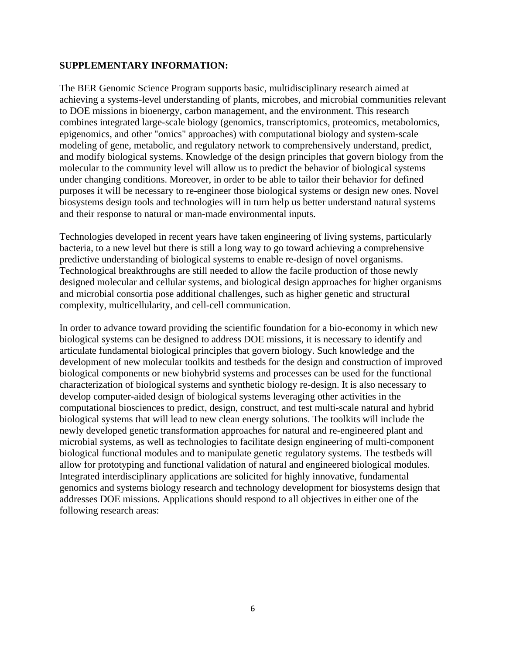#### **SUPPLEMENTARY INFORMATION:**

The BER Genomic Science Program supports basic, multidisciplinary research aimed at achieving a systems-level understanding of plants, microbes, and microbial communities relevant to DOE missions in bioenergy, carbon management, and the environment. This research combines integrated large-scale biology (genomics, transcriptomics, proteomics, metabolomics, epigenomics, and other "omics" approaches) with computational biology and system-scale modeling of gene, metabolic, and regulatory network to comprehensively understand, predict, and modify biological systems. Knowledge of the design principles that govern biology from the molecular to the community level will allow us to predict the behavior of biological systems under changing conditions. Moreover, in order to be able to tailor their behavior for defined purposes it will be necessary to re-engineer those biological systems or design new ones. Novel biosystems design tools and technologies will in turn help us better understand natural systems and their response to natural or man-made environmental inputs.

Technologies developed in recent years have taken engineering of living systems, particularly bacteria, to a new level but there is still a long way to go toward achieving a comprehensive predictive understanding of biological systems to enable re-design of novel organisms. Technological breakthroughs are still needed to allow the facile production of those newly designed molecular and cellular systems, and biological design approaches for higher organisms and microbial consortia pose additional challenges, such as higher genetic and structural complexity, multicellularity, and cell-cell communication.

In order to advance toward providing the scientific foundation for a bio-economy in which new biological systems can be designed to address DOE missions, it is necessary to identify and articulate fundamental biological principles that govern biology. Such knowledge and the development of new molecular toolkits and testbeds for the design and construction of improved biological components or new biohybrid systems and processes can be used for the functional characterization of biological systems and synthetic biology re-design. It is also necessary to develop computer-aided design of biological systems leveraging other activities in the computational biosciences to predict, design, construct, and test multi-scale natural and hybrid biological systems that will lead to new clean energy solutions. The toolkits will include the newly developed genetic transformation approaches for natural and re-engineered plant and microbial systems, as well as technologies to facilitate design engineering of multi-component biological functional modules and to manipulate genetic regulatory systems. The testbeds will allow for prototyping and functional validation of natural and engineered biological modules. Integrated interdisciplinary applications are solicited for highly innovative, fundamental genomics and systems biology research and technology development for biosystems design that addresses DOE missions. Applications should respond to all objectives in either one of the following research areas: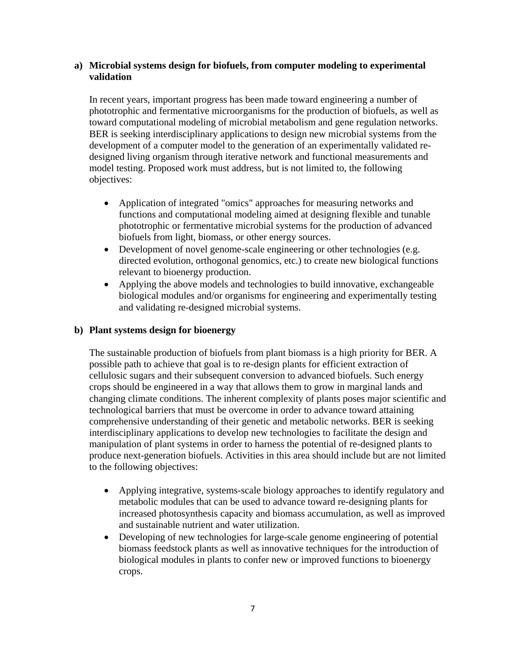## **a) Microbial systems design for biofuels, from computer modeling to experimental validation**

In recent years, important progress has been made toward engineering a number of phototrophic and fermentative microorganisms for the production of biofuels, as well as toward computational modeling of microbial metabolism and gene regulation networks. BER is seeking interdisciplinary applications to design new microbial systems from the development of a computer model to the generation of an experimentally validated redesigned living organism through iterative network and functional measurements and model testing. Proposed work must address, but is not limited to, the following objectives:

- Application of integrated "omics" approaches for measuring networks and functions and computational modeling aimed at designing flexible and tunable phototrophic or fermentative microbial systems for the production of advanced biofuels from light, biomass, or other energy sources.
- Development of novel genome-scale engineering or other technologies (e.g. directed evolution, orthogonal genomics, etc.) to create new biological functions relevant to bioenergy production.
- Applying the above models and technologies to build innovative, exchangeable biological modules and/or organisms for engineering and experimentally testing and validating re-designed microbial systems.

## **b) Plant systems design for bioenergy**

The sustainable production of biofuels from plant biomass is a high priority for BER. A possible path to achieve that goal is to re-design plants for efficient extraction of cellulosic sugars and their subsequent conversion to advanced biofuels. Such energy crops should be engineered in a way that allows them to grow in marginal lands and changing climate conditions. The inherent complexity of plants poses major scientific and technological barriers that must be overcome in order to advance toward attaining comprehensive understanding of their genetic and metabolic networks. BER is seeking interdisciplinary applications to develop new technologies to facilitate the design and manipulation of plant systems in order to harness the potential of re-designed plants to produce next-generation biofuels. Activities in this area should include but are not limited to the following objectives:

- Applying integrative, systems-scale biology approaches to identify regulatory and metabolic modules that can be used to advance toward re-designing plants for increased photosynthesis capacity and biomass accumulation, as well as improved and sustainable nutrient and water utilization.
- Developing of new technologies for large-scale genome engineering of potential biomass feedstock plants as well as innovative techniques for the introduction of biological modules in plants to confer new or improved functions to bioenergy crops.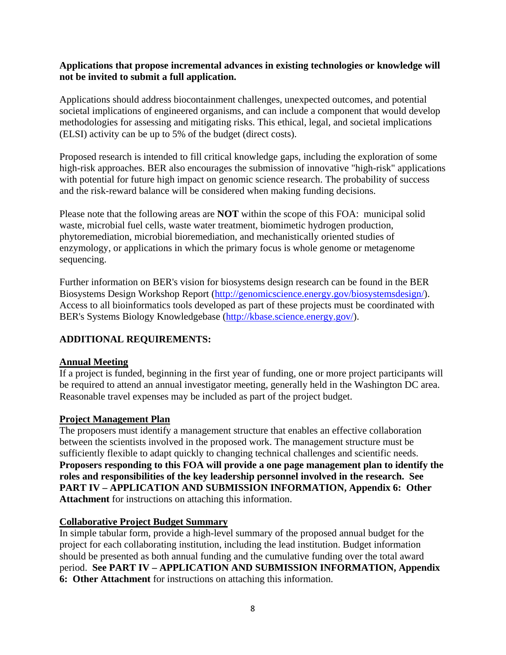#### **Applications that propose incremental advances in existing technologies or knowledge will not be invited to submit a full application.**

Applications should address biocontainment challenges, unexpected outcomes, and potential societal implications of engineered organisms, and can include a component that would develop methodologies for assessing and mitigating risks. This ethical, legal, and societal implications (ELSI) activity can be up to 5% of the budget (direct costs).

Proposed research is intended to fill critical knowledge gaps, including the exploration of some high-risk approaches. BER also encourages the submission of innovative "high-risk" applications with potential for future high impact on genomic science research. The probability of success and the risk-reward balance will be considered when making funding decisions.

Please note that the following areas are **NOT** within the scope of this FOA: municipal solid waste, microbial fuel cells, waste water treatment, biomimetic hydrogen production, phytoremediation, microbial bioremediation, and mechanistically oriented studies of enzymology, or applications in which the primary focus is whole genome or metagenome sequencing.

Further information on BER's vision for biosystems design research can be found in the BER Biosystems Design Workshop Report (http://genomicscience.energy.gov/biosystemsdesign/). Access to all bioinformatics tools developed as part of these projects must be coordinated with BER's Systems Biology Knowledgebase (http://kbase.science.energy.gov/).

## **ADDITIONAL REQUIREMENTS:**

## **Annual Meeting**

If a project is funded, beginning in the first year of funding, one or more project participants will be required to attend an annual investigator meeting, generally held in the Washington DC area. Reasonable travel expenses may be included as part of the project budget.

## **Project Management Plan**

The proposers must identify a management structure that enables an effective collaboration between the scientists involved in the proposed work. The management structure must be sufficiently flexible to adapt quickly to changing technical challenges and scientific needs. **Proposers responding to this FOA will provide a one page management plan to identify the roles and responsibilities of the key leadership personnel involved in the research. See PART IV – APPLICATION AND SUBMISSION INFORMATION, Appendix 6: Other Attachment** for instructions on attaching this information.

## **Collaborative Project Budget Summary**

In simple tabular form, provide a high-level summary of the proposed annual budget for the project for each collaborating institution, including the lead institution. Budget information should be presented as both annual funding and the cumulative funding over the total award period. **See PART IV – APPLICATION AND SUBMISSION INFORMATION, Appendix 6: Other Attachment** for instructions on attaching this information.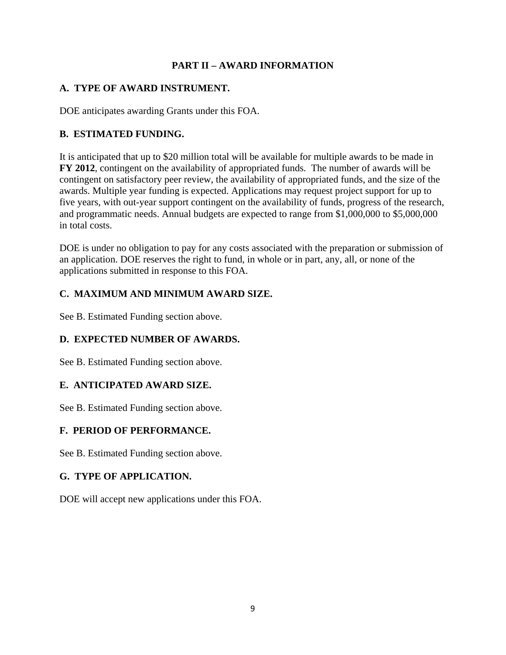## **PART II – AWARD INFORMATION**

#### **A. TYPE OF AWARD INSTRUMENT.**

DOE anticipates awarding Grants under this FOA.

## **B. ESTIMATED FUNDING.**

It is anticipated that up to \$20 million total will be available for multiple awards to be made in **FY 2012**, contingent on the availability of appropriated funds*.* The number of awards will be contingent on satisfactory peer review, the availability of appropriated funds, and the size of the awards. Multiple year funding is expected. Applications may request project support for up to five years, with out-year support contingent on the availability of funds, progress of the research, and programmatic needs. Annual budgets are expected to range from \$1,000,000 to \$5,000,000 in total costs.

DOE is under no obligation to pay for any costs associated with the preparation or submission of an application. DOE reserves the right to fund, in whole or in part, any, all, or none of the applications submitted in response to this FOA.

## **C. MAXIMUM AND MINIMUM AWARD SIZE.**

See B. Estimated Funding section above.

## **D. EXPECTED NUMBER OF AWARDS.**

See B. Estimated Funding section above.

## **E. ANTICIPATED AWARD SIZE.**

See B. Estimated Funding section above.

## **F. PERIOD OF PERFORMANCE.**

See B. Estimated Funding section above.

## **G. TYPE OF APPLICATION.**

DOE will accept new applications under this FOA.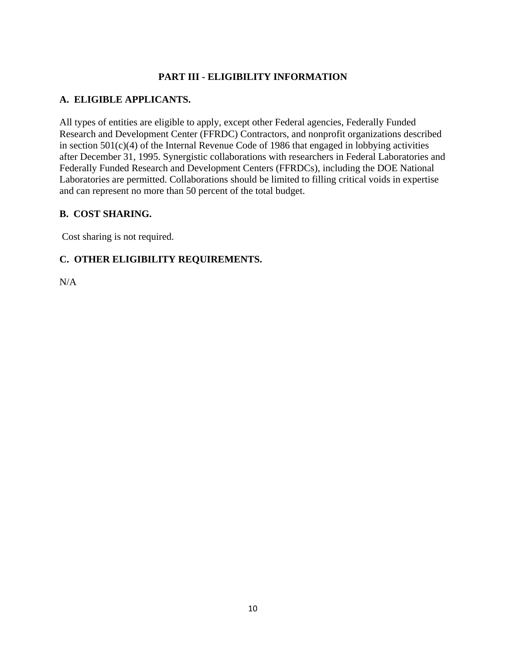## **PART III - ELIGIBILITY INFORMATION**

## **A. ELIGIBLE APPLICANTS.**

All types of entities are eligible to apply, except other Federal agencies, Federally Funded Research and Development Center (FFRDC) Contractors, and nonprofit organizations described in section 501(c)(4) of the Internal Revenue Code of 1986 that engaged in lobbying activities after December 31, 1995. Synergistic collaborations with researchers in Federal Laboratories and Federally Funded Research and Development Centers (FFRDCs), including the DOE National Laboratories are permitted. Collaborations should be limited to filling critical voids in expertise and can represent no more than 50 percent of the total budget.

## **B. COST SHARING.**

Cost sharing is not required.

## **C. OTHER ELIGIBILITY REQUIREMENTS.**

N/A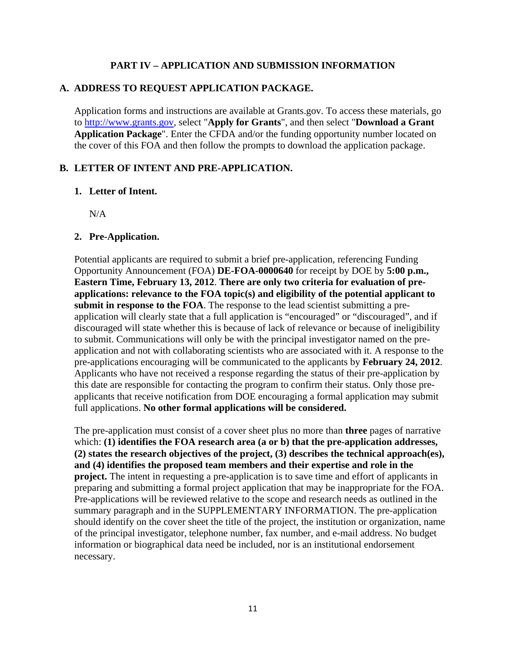#### **PART IV – APPLICATION AND SUBMISSION INFORMATION**

#### **A. ADDRESS TO REQUEST APPLICATION PACKAGE.**

Application forms and instructions are available at Grants.gov. To access these materials, go to http://www.grants.gov, select "**Apply for Grants**", and then select "**Download a Grant Application Package**". Enter the CFDA and/or the funding opportunity number located on the cover of this FOA and then follow the prompts to download the application package.

#### **B. LETTER OF INTENT AND PRE-APPLICATION.**

#### **1. Letter of Intent.**

N/A

#### **2. Pre-Application.**

Potential applicants are required to submit a brief pre-application, referencing Funding Opportunity Announcement (FOA) **DE-FOA-0000640** for receipt by DOE by **5:00 p.m., Eastern Time, February 13, 2012**. **There are only two criteria for evaluation of preapplications: relevance to the FOA topic(s) and eligibility of the potential applicant to submit in response to the FOA**. The response to the lead scientist submitting a preapplication will clearly state that a full application is "encouraged" or "discouraged", and if discouraged will state whether this is because of lack of relevance or because of ineligibility to submit. Communications will only be with the principal investigator named on the preapplication and not with collaborating scientists who are associated with it. A response to the pre-applications encouraging will be communicated to the applicants by **February 24, 2012**. Applicants who have not received a response regarding the status of their pre-application by this date are responsible for contacting the program to confirm their status. Only those preapplicants that receive notification from DOE encouraging a formal application may submit full applications. **No other formal applications will be considered.** 

The pre-application must consist of a cover sheet plus no more than **three** pages of narrative which: **(1) identifies the FOA research area (a or b) that the pre-application addresses, (2) states the research objectives of the project, (3) describes the technical approach(es), and (4) identifies the proposed team members and their expertise and role in the project.** The intent in requesting a pre-application is to save time and effort of applicants in preparing and submitting a formal project application that may be inappropriate for the FOA. Pre-applications will be reviewed relative to the scope and research needs as outlined in the summary paragraph and in the SUPPLEMENTARY INFORMATION. The pre-application should identify on the cover sheet the title of the project, the institution or organization, name of the principal investigator, telephone number, fax number, and e-mail address. No budget information or biographical data need be included, nor is an institutional endorsement necessary.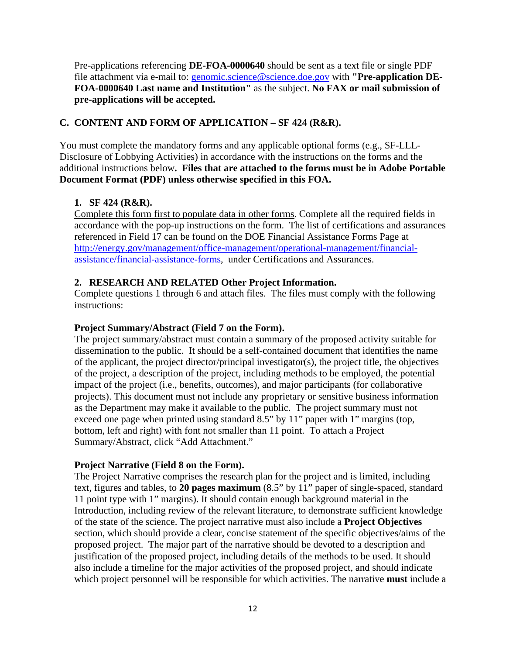Pre-applications referencing **DE-FOA-0000640** should be sent as a text file or single PDF file attachment via e-mail to: genomic.science@science.doe.gov with "Pre-application DE-**FOA-0000640 Last name and Institution"** as the subject. **No FAX or mail submission of pre-applications will be accepted.** 

## **C. CONTENT AND FORM OF APPLICATION – SF 424 (R&R).**

You must complete the mandatory forms and any applicable optional forms (e.g., SF-LLL-Disclosure of Lobbying Activities) in accordance with the instructions on the forms and the additional instructions below**. Files that are attached to the forms must be in Adobe Portable Document Format (PDF) unless otherwise specified in this FOA.**

## **1. SF 424 (R&R).**

Complete this form first to populate data in other forms. Complete all the required fields in accordance with the pop-up instructions on the form. The list of certifications and assurances referenced in Field 17 can be found on the DOE Financial Assistance Forms Page at http://energy.gov/management/office-management/operational-management/financialassistance/financial-assistance-forms, under Certifications and Assurances.

## **2. RESEARCH AND RELATED Other Project Information.**

Complete questions 1 through 6 and attach files. The files must comply with the following instructions:

## **Project Summary/Abstract (Field 7 on the Form).**

The project summary/abstract must contain a summary of the proposed activity suitable for dissemination to the public. It should be a self-contained document that identifies the name of the applicant, the project director/principal investigator(s), the project title, the objectives of the project, a description of the project, including methods to be employed, the potential impact of the project (i.e., benefits, outcomes), and major participants (for collaborative projects). This document must not include any proprietary or sensitive business information as the Department may make it available to the public. The project summary must not exceed one page when printed using standard 8.5" by 11" paper with 1" margins (top, bottom, left and right) with font not smaller than 11 point. To attach a Project Summary/Abstract, click "Add Attachment."

## **Project Narrative (Field 8 on the Form).**

The Project Narrative comprises the research plan for the project and is limited, including text, figures and tables, to **20 pages maximum** (8.5" by 11" paper of single-spaced, standard 11 point type with 1" margins). It should contain enough background material in the Introduction, including review of the relevant literature, to demonstrate sufficient knowledge of the state of the science. The project narrative must also include a **Project Objectives**  section, which should provide a clear, concise statement of the specific objectives/aims of the proposed project. The major part of the narrative should be devoted to a description and justification of the proposed project, including details of the methods to be used. It should also include a timeline for the major activities of the proposed project, and should indicate which project personnel will be responsible for which activities. The narrative **must** include a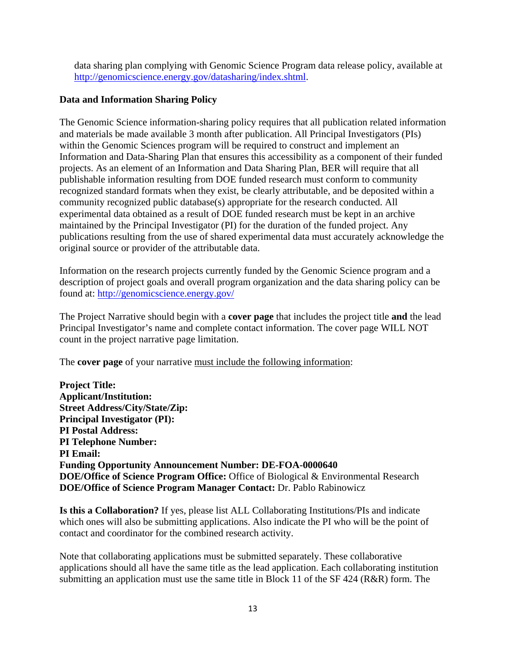data sharing plan complying with Genomic Science Program data release policy, available at http://genomicscience.energy.gov/datasharing/index.shtml.

## **Data and Information Sharing Policy**

The Genomic Science information-sharing policy requires that all publication related information and materials be made available 3 month after publication. All Principal Investigators (PIs) within the Genomic Sciences program will be required to construct and implement an Information and Data-Sharing Plan that ensures this accessibility as a component of their funded projects. As an element of an Information and Data Sharing Plan, BER will require that all publishable information resulting from DOE funded research must conform to community recognized standard formats when they exist, be clearly attributable, and be deposited within a community recognized public database(s) appropriate for the research conducted. All experimental data obtained as a result of DOE funded research must be kept in an archive maintained by the Principal Investigator (PI) for the duration of the funded project. Any publications resulting from the use of shared experimental data must accurately acknowledge the original source or provider of the attributable data.

Information on the research projects currently funded by the Genomic Science program and a description of project goals and overall program organization and the data sharing policy can be found at: http://genomicscience.energy.gov/

The Project Narrative should begin with a **cover page** that includes the project title **and** the lead Principal Investigator's name and complete contact information. The cover page WILL NOT count in the project narrative page limitation.

The **cover page** of your narrative must include the following information:

**Project Title: Applicant/Institution: Street Address/City/State/Zip: Principal Investigator (PI): PI Postal Address: PI Telephone Number: PI Email: Funding Opportunity Announcement Number: DE-FOA-0000640 DOE/Office of Science Program Office:** Office of Biological & Environmental Research **DOE/Office of Science Program Manager Contact:** Dr. Pablo Rabinowicz

**Is this a Collaboration?** If yes, please list ALL Collaborating Institutions/PIs and indicate which ones will also be submitting applications. Also indicate the PI who will be the point of contact and coordinator for the combined research activity.

Note that collaborating applications must be submitted separately. These collaborative applications should all have the same title as the lead application. Each collaborating institution submitting an application must use the same title in Block 11 of the SF 424 (R&R) form. The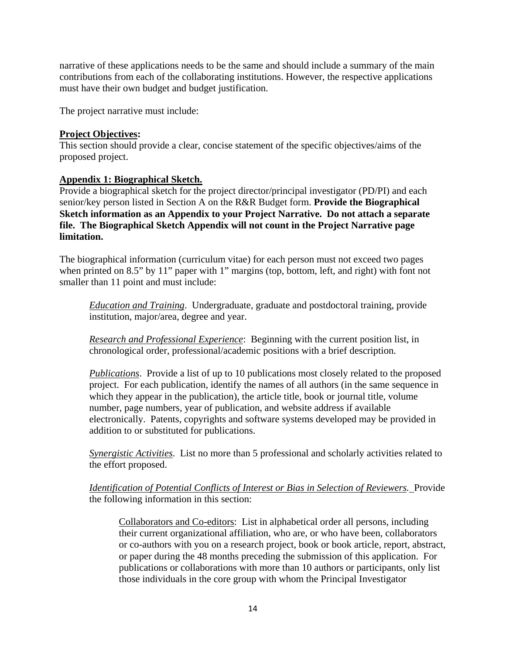narrative of these applications needs to be the same and should include a summary of the main contributions from each of the collaborating institutions. However, the respective applications must have their own budget and budget justification.

The project narrative must include:

## **Project Objectives:**

This section should provide a clear, concise statement of the specific objectives/aims of the proposed project.

#### **Appendix 1: Biographical Sketch.**

Provide a biographical sketch for the project director/principal investigator (PD/PI) and each senior/key person listed in Section A on the R&R Budget form. **Provide the Biographical Sketch information as an Appendix to your Project Narrative. Do not attach a separate file. The Biographical Sketch Appendix will not count in the Project Narrative page limitation.** 

The biographical information (curriculum vitae) for each person must not exceed two pages when printed on 8.5" by 11" paper with 1" margins (top, bottom, left, and right) with font not smaller than 11 point and must include:

*Education and Training*. Undergraduate, graduate and postdoctoral training, provide institution, major/area, degree and year.

*Research and Professional Experience*: Beginning with the current position list, in chronological order, professional/academic positions with a brief description.

*Publications*. Provide a list of up to 10 publications most closely related to the proposed project. For each publication, identify the names of all authors (in the same sequence in which they appear in the publication), the article title, book or journal title, volume number, page numbers, year of publication, and website address if available electronically. Patents, copyrights and software systems developed may be provided in addition to or substituted for publications.

*Synergistic Activities*. List no more than 5 professional and scholarly activities related to the effort proposed.

*Identification of Potential Conflicts of Interest or Bias in Selection of Reviewers.* Provide the following information in this section:

Collaborators and Co-editors: List in alphabetical order all persons, including their current organizational affiliation, who are, or who have been, collaborators or co-authors with you on a research project, book or book article, report, abstract, or paper during the 48 months preceding the submission of this application. For publications or collaborations with more than 10 authors or participants, only list those individuals in the core group with whom the Principal Investigator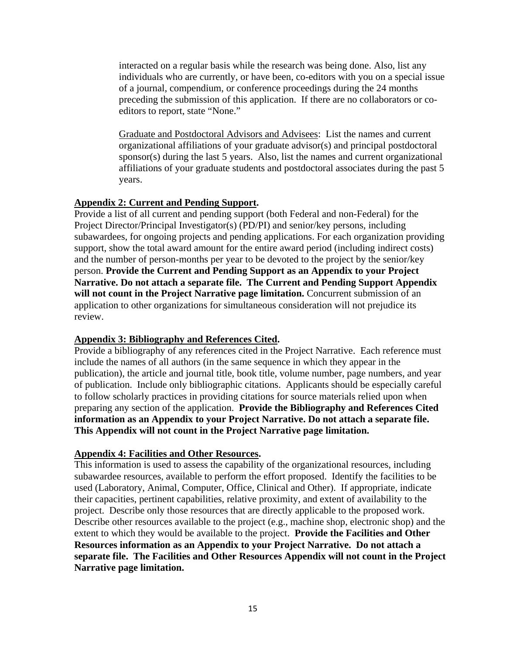interacted on a regular basis while the research was being done. Also, list any individuals who are currently, or have been, co-editors with you on a special issue of a journal, compendium, or conference proceedings during the 24 months preceding the submission of this application. If there are no collaborators or coeditors to report, state "None."

Graduate and Postdoctoral Advisors and Advisees: List the names and current organizational affiliations of your graduate advisor(s) and principal postdoctoral sponsor(s) during the last 5 years. Also, list the names and current organizational affiliations of your graduate students and postdoctoral associates during the past 5 years.

#### **Appendix 2: Current and Pending Support.**

Provide a list of all current and pending support (both Federal and non-Federal) for the Project Director/Principal Investigator(s) (PD/PI) and senior/key persons, including subawardees, for ongoing projects and pending applications. For each organization providing support, show the total award amount for the entire award period (including indirect costs) and the number of person-months per year to be devoted to the project by the senior/key person. **Provide the Current and Pending Support as an Appendix to your Project Narrative. Do not attach a separate file. The Current and Pending Support Appendix will not count in the Project Narrative page limitation.** Concurrent submission of an application to other organizations for simultaneous consideration will not prejudice its review.

#### **Appendix 3: Bibliography and References Cited.**

Provide a bibliography of any references cited in the Project Narrative. Each reference must include the names of all authors (in the same sequence in which they appear in the publication), the article and journal title, book title, volume number, page numbers, and year of publication. Include only bibliographic citations. Applicants should be especially careful to follow scholarly practices in providing citations for source materials relied upon when preparing any section of the application. **Provide the Bibliography and References Cited information as an Appendix to your Project Narrative. Do not attach a separate file. This Appendix will not count in the Project Narrative page limitation.** 

#### **Appendix 4: Facilities and Other Resources.**

This information is used to assess the capability of the organizational resources, including subawardee resources, available to perform the effort proposed. Identify the facilities to be used (Laboratory, Animal, Computer, Office, Clinical and Other). If appropriate, indicate their capacities, pertinent capabilities, relative proximity, and extent of availability to the project. Describe only those resources that are directly applicable to the proposed work. Describe other resources available to the project (e.g., machine shop, electronic shop) and the extent to which they would be available to the project. **Provide the Facilities and Other Resources information as an Appendix to your Project Narrative. Do not attach a separate file. The Facilities and Other Resources Appendix will not count in the Project Narrative page limitation.**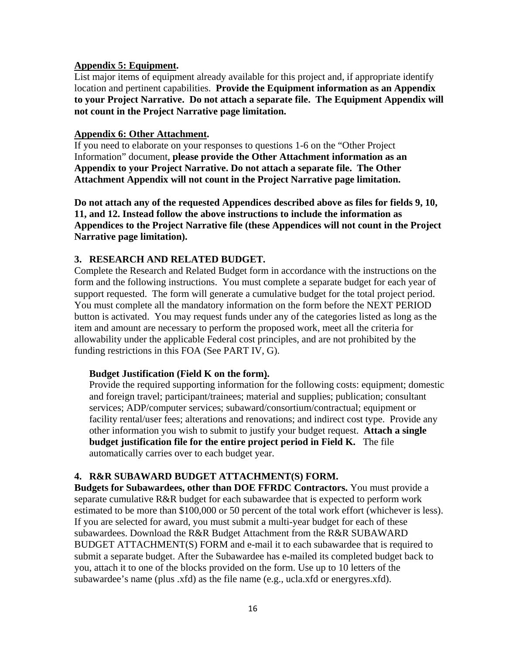#### **Appendix 5: Equipment.**

List major items of equipment already available for this project and, if appropriate identify location and pertinent capabilities. **Provide the Equipment information as an Appendix to your Project Narrative. Do not attach a separate file. The Equipment Appendix will not count in the Project Narrative page limitation.** 

#### **Appendix 6: Other Attachment.**

If you need to elaborate on your responses to questions 1-6 on the "Other Project Information" document, **please provide the Other Attachment information as an Appendix to your Project Narrative. Do not attach a separate file. The Other Attachment Appendix will not count in the Project Narrative page limitation.** 

**Do not attach any of the requested Appendices described above as files for fields 9, 10, 11, and 12. Instead follow the above instructions to include the information as Appendices to the Project Narrative file (these Appendices will not count in the Project Narrative page limitation).** 

#### **3. RESEARCH AND RELATED BUDGET.**

Complete the Research and Related Budget form in accordance with the instructions on the form and the following instructions. You must complete a separate budget for each year of support requested. The form will generate a cumulative budget for the total project period. You must complete all the mandatory information on the form before the NEXT PERIOD button is activated. You may request funds under any of the categories listed as long as the item and amount are necessary to perform the proposed work, meet all the criteria for allowability under the applicable Federal cost principles, and are not prohibited by the funding restrictions in this FOA (See PART IV, G).

#### **Budget Justification (Field K on the form).**

Provide the required supporting information for the following costs: equipment; domestic and foreign travel; participant/trainees; material and supplies; publication; consultant services; ADP/computer services; subaward/consortium/contractual; equipment or facility rental/user fees; alterations and renovations; and indirect cost type. Provide any other information you wish to submit to justify your budget request. **Attach a single budget justification file for the entire project period in Field K.** The file automatically carries over to each budget year.

#### **4. R&R SUBAWARD BUDGET ATTACHMENT(S) FORM.**

**Budgets for Subawardees, other than DOE FFRDC Contractors.** You must provide a separate cumulative R&R budget for each subawardee that is expected to perform work estimated to be more than \$100,000 or 50 percent of the total work effort (whichever is less). If you are selected for award, you must submit a multi-year budget for each of these subawardees. Download the R&R Budget Attachment from the R&R SUBAWARD BUDGET ATTACHMENT(S) FORM and e-mail it to each subawardee that is required to submit a separate budget. After the Subawardee has e-mailed its completed budget back to you, attach it to one of the blocks provided on the form. Use up to 10 letters of the subawardee's name (plus .xfd) as the file name (e.g., ucla.xfd or energyres.xfd).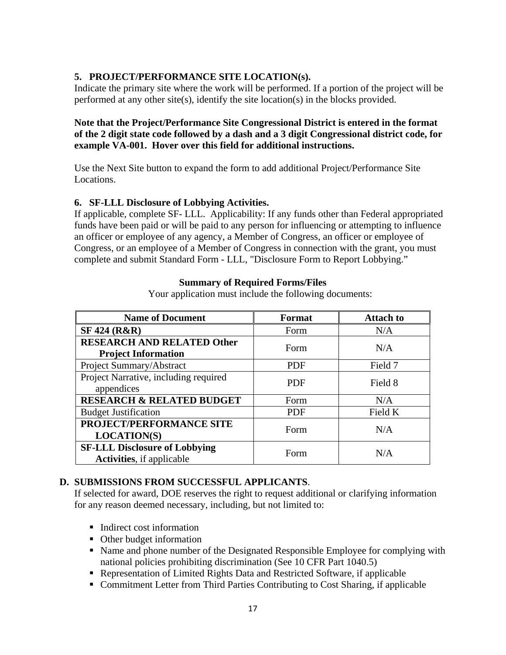## **5. PROJECT/PERFORMANCE SITE LOCATION(s).**

Indicate the primary site where the work will be performed. If a portion of the project will be performed at any other site(s), identify the site location(s) in the blocks provided.

## **Note that the Project/Performance Site Congressional District is entered in the format of the 2 digit state code followed by a dash and a 3 digit Congressional district code, for example VA-001. Hover over this field for additional instructions.**

Use the Next Site button to expand the form to add additional Project/Performance Site Locations.

## **6. SF-LLL Disclosure of Lobbying Activities.**

If applicable, complete SF- LLL. Applicability: If any funds other than Federal appropriated funds have been paid or will be paid to any person for influencing or attempting to influence an officer or employee of any agency, a Member of Congress, an officer or employee of Congress, or an employee of a Member of Congress in connection with the grant, you must complete and submit Standard Form - LLL, "Disclosure Form to Report Lobbying."

## **Summary of Required Forms/Files**

Your application must include the following documents:

| <b>Name of Document</b>                                                   | Format     | <b>Attach to</b> |
|---------------------------------------------------------------------------|------------|------------------|
| <b>SF 424 (R&amp;R)</b>                                                   | Form       | N/A              |
| <b>RESEARCH AND RELATED Other</b><br><b>Project Information</b>           | Form       | N/A              |
| Project Summary/Abstract                                                  | <b>PDF</b> | Field 7          |
| Project Narrative, including required<br>appendices                       | <b>PDF</b> | Field 8          |
| <b>RESEARCH &amp; RELATED BUDGET</b>                                      | Form       | N/A              |
| <b>Budget Justification</b>                                               | <b>PDF</b> | Field K          |
| <b>PROJECT/PERFORMANCE SITE</b><br><b>LOCATION(S)</b>                     | Form       | N/A              |
| <b>SF-LLL Disclosure of Lobbying</b><br><b>Activities</b> , if applicable | Form       | N/A              |

## **D. SUBMISSIONS FROM SUCCESSFUL APPLICANTS**.

If selected for award, DOE reserves the right to request additional or clarifying information for any reason deemed necessary, including, but not limited to:

- Indirect cost information
- Other budget information
- Name and phone number of the Designated Responsible Employee for complying with national policies prohibiting discrimination (See 10 CFR Part 1040.5)
- Representation of Limited Rights Data and Restricted Software, if applicable
- Commitment Letter from Third Parties Contributing to Cost Sharing, if applicable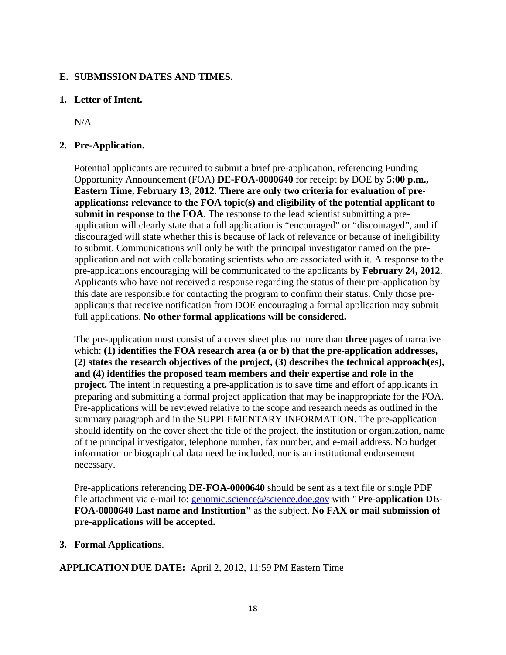#### **E. SUBMISSION DATES AND TIMES.**

#### **1. Letter of Intent.**

N/A

## **2. Pre-Application.**

Potential applicants are required to submit a brief pre-application, referencing Funding Opportunity Announcement (FOA) **DE-FOA-0000640** for receipt by DOE by **5:00 p.m., Eastern Time, February 13, 2012**. **There are only two criteria for evaluation of preapplications: relevance to the FOA topic(s) and eligibility of the potential applicant to submit in response to the FOA**. The response to the lead scientist submitting a preapplication will clearly state that a full application is "encouraged" or "discouraged", and if discouraged will state whether this is because of lack of relevance or because of ineligibility to submit. Communications will only be with the principal investigator named on the preapplication and not with collaborating scientists who are associated with it. A response to the pre-applications encouraging will be communicated to the applicants by **February 24, 2012**. Applicants who have not received a response regarding the status of their pre-application by this date are responsible for contacting the program to confirm their status. Only those preapplicants that receive notification from DOE encouraging a formal application may submit full applications. **No other formal applications will be considered.** 

The pre-application must consist of a cover sheet plus no more than **three** pages of narrative which: **(1) identifies the FOA research area (a or b) that the pre-application addresses, (2) states the research objectives of the project, (3) describes the technical approach(es), and (4) identifies the proposed team members and their expertise and role in the project.** The intent in requesting a pre-application is to save time and effort of applicants in preparing and submitting a formal project application that may be inappropriate for the FOA. Pre-applications will be reviewed relative to the scope and research needs as outlined in the summary paragraph and in the SUPPLEMENTARY INFORMATION. The pre-application should identify on the cover sheet the title of the project, the institution or organization, name of the principal investigator, telephone number, fax number, and e-mail address. No budget information or biographical data need be included, nor is an institutional endorsement necessary.

Pre-applications referencing **DE-FOA-0000640** should be sent as a text file or single PDF file attachment via e-mail to: genomic.science@science.doe.gov with **"Pre-application DE-FOA-0000640 Last name and Institution"** as the subject. **No FAX or mail submission of pre-applications will be accepted.** 

**3. Formal Applications**.

**APPLICATION DUE DATE:** April 2, 2012, 11:59 PM Eastern Time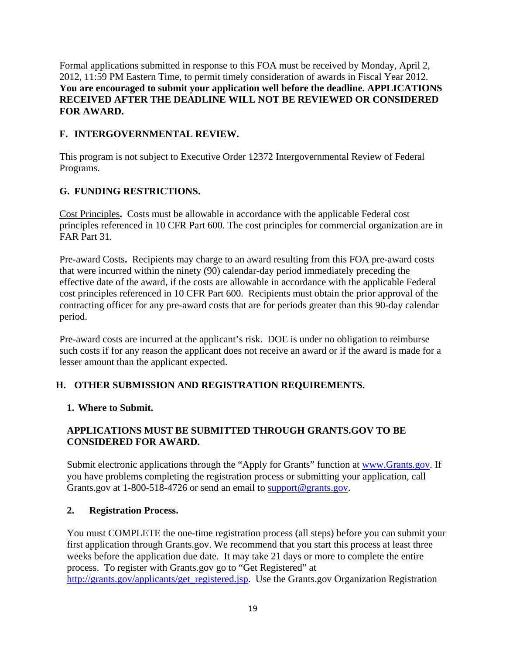Formal applications submitted in response to this FOA must be received by Monday, April 2, 2012, 11:59 PM Eastern Time, to permit timely consideration of awards in Fiscal Year 2012. **You are encouraged to submit your application well before the deadline. APPLICATIONS RECEIVED AFTER THE DEADLINE WILL NOT BE REVIEWED OR CONSIDERED FOR AWARD.** 

## **F. INTERGOVERNMENTAL REVIEW.**

This program is not subject to Executive Order 12372 Intergovernmental Review of Federal Programs.

## **G. FUNDING RESTRICTIONS.**

Cost Principles**.** Costs must be allowable in accordance with the applicable Federal cost principles referenced in 10 CFR Part 600. The cost principles for commercial organization are in FAR Part 31.

Pre-award Costs**.** Recipients may charge to an award resulting from this FOA pre-award costs that were incurred within the ninety (90) calendar-day period immediately preceding the effective date of the award, if the costs are allowable in accordance with the applicable Federal cost principles referenced in 10 CFR Part 600. Recipients must obtain the prior approval of the contracting officer for any pre-award costs that are for periods greater than this 90-day calendar period.

Pre-award costs are incurred at the applicant's risk. DOE is under no obligation to reimburse such costs if for any reason the applicant does not receive an award or if the award is made for a lesser amount than the applicant expected.

## **H. OTHER SUBMISSION AND REGISTRATION REQUIREMENTS.**

## **1. Where to Submit.**

## **APPLICATIONS MUST BE SUBMITTED THROUGH GRANTS.GOV TO BE CONSIDERED FOR AWARD.**

Submit electronic applications through the "Apply for Grants" function at www.Grants.gov. If you have problems completing the registration process or submitting your application, call Grants.gov at 1-800-518-4726 or send an email to support@grants.gov.

## **2. Registration Process.**

You must COMPLETE the one-time registration process (all steps) before you can submit your first application through Grants.gov. We recommend that you start this process at least three weeks before the application due date. It may take 21 days or more to complete the entire process. To register with Grants.gov go to "Get Registered" at http://grants.gov/applicants/get\_registered.jsp. Use the Grants.gov Organization Registration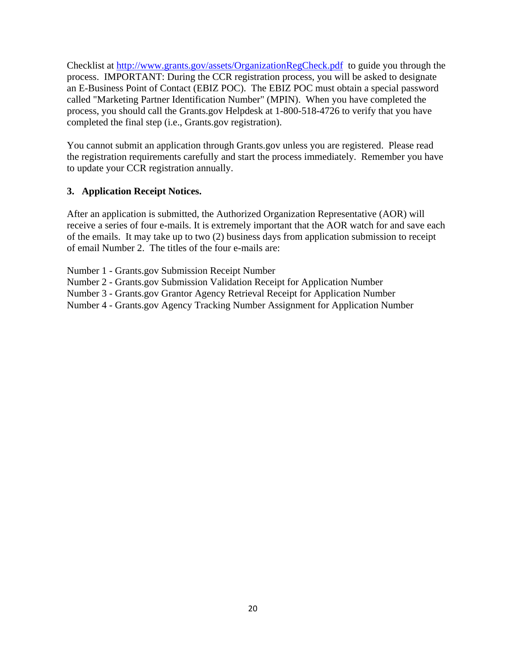Checklist at http://www.grants.gov/assets/OrganizationRegCheck.pdf to guide you through the process. IMPORTANT: During the CCR registration process, you will be asked to designate an E-Business Point of Contact (EBIZ POC). The EBIZ POC must obtain a special password called "Marketing Partner Identification Number" (MPIN). When you have completed the process, you should call the Grants.gov Helpdesk at 1-800-518-4726 to verify that you have completed the final step (i.e., Grants.gov registration).

You cannot submit an application through Grants.gov unless you are registered. Please read the registration requirements carefully and start the process immediately. Remember you have to update your CCR registration annually.

## **3. Application Receipt Notices.**

After an application is submitted, the Authorized Organization Representative (AOR) will receive a series of four e-mails. It is extremely important that the AOR watch for and save each of the emails. It may take up to two (2) business days from application submission to receipt of email Number 2. The titles of the four e-mails are:

Number 1 - Grants.gov Submission Receipt Number

Number 2 - Grants.gov Submission Validation Receipt for Application Number

Number 3 - Grants.gov Grantor Agency Retrieval Receipt for Application Number

Number 4 - Grants.gov Agency Tracking Number Assignment for Application Number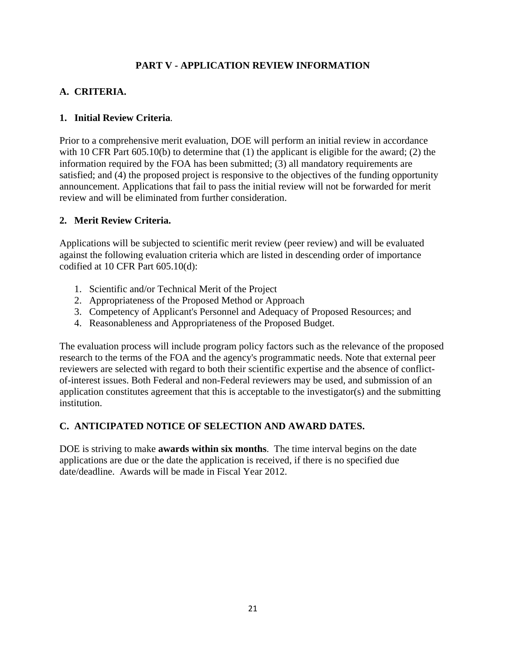## **PART V - APPLICATION REVIEW INFORMATION**

## **A. CRITERIA.**

## **1. Initial Review Criteria**.

Prior to a comprehensive merit evaluation, DOE will perform an initial review in accordance with 10 CFR Part 605.10(b) to determine that (1) the applicant is eligible for the award; (2) the information required by the FOA has been submitted; (3) all mandatory requirements are satisfied; and (4) the proposed project is responsive to the objectives of the funding opportunity announcement. Applications that fail to pass the initial review will not be forwarded for merit review and will be eliminated from further consideration.

## **2. Merit Review Criteria.**

Applications will be subjected to scientific merit review (peer review) and will be evaluated against the following evaluation criteria which are listed in descending order of importance codified at 10 CFR Part 605.10(d):

- 1. Scientific and/or Technical Merit of the Project
- 2. Appropriateness of the Proposed Method or Approach
- 3. Competency of Applicant's Personnel and Adequacy of Proposed Resources; and
- 4. Reasonableness and Appropriateness of the Proposed Budget.

The evaluation process will include program policy factors such as the relevance of the proposed research to the terms of the FOA and the agency's programmatic needs. Note that external peer reviewers are selected with regard to both their scientific expertise and the absence of conflictof-interest issues. Both Federal and non-Federal reviewers may be used, and submission of an application constitutes agreement that this is acceptable to the investigator(s) and the submitting institution.

## **C. ANTICIPATED NOTICE OF SELECTION AND AWARD DATES.**

DOE is striving to make **awards within six months**. The time interval begins on the date applications are due or the date the application is received, if there is no specified due date/deadline. Awards will be made in Fiscal Year 2012.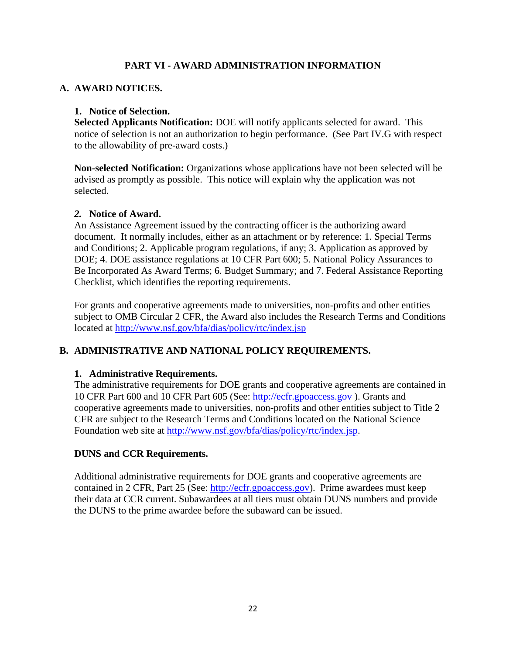## **PART VI - AWARD ADMINISTRATION INFORMATION**

## **A. AWARD NOTICES.**

#### **1. Notice of Selection.**

**Selected Applicants Notification:** DOE will notify applicants selected for award. This notice of selection is not an authorization to begin performance. (See Part IV.G with respect to the allowability of pre-award costs.)

**Non-selected Notification:** Organizations whose applications have not been selected will be advised as promptly as possible. This notice will explain why the application was not selected.

#### *2.* **Notice of Award.**

An Assistance Agreement issued by the contracting officer is the authorizing award document. It normally includes, either as an attachment or by reference: 1. Special Terms and Conditions; 2. Applicable program regulations, if any; 3. Application as approved by DOE; 4. DOE assistance regulations at 10 CFR Part 600; 5. National Policy Assurances to Be Incorporated As Award Terms; 6. Budget Summary; and 7. Federal Assistance Reporting Checklist, which identifies the reporting requirements.

For grants and cooperative agreements made to universities, non-profits and other entities subject to OMB Circular 2 CFR, the Award also includes the Research Terms and Conditions located at http://www.nsf.gov/bfa/dias/policy/rtc/index.jsp

## **B. ADMINISTRATIVE AND NATIONAL POLICY REQUIREMENTS.**

#### **1. Administrative Requirements.**

The administrative requirements for DOE grants and cooperative agreements are contained in 10 CFR Part 600 and 10 CFR Part 605 (See: http://ecfr.gpoaccess.gov ). Grants and cooperative agreements made to universities, non-profits and other entities subject to Title 2 CFR are subject to the Research Terms and Conditions located on the National Science Foundation web site at http://www.nsf.gov/bfa/dias/policy/rtc/index.jsp.

## **DUNS and CCR Requirements.**

Additional administrative requirements for DOE grants and cooperative agreements are contained in 2 CFR, Part 25 (See: http://ecfr.gpoaccess.gov). Prime awardees must keep their data at CCR current. Subawardees at all tiers must obtain DUNS numbers and provide the DUNS to the prime awardee before the subaward can be issued.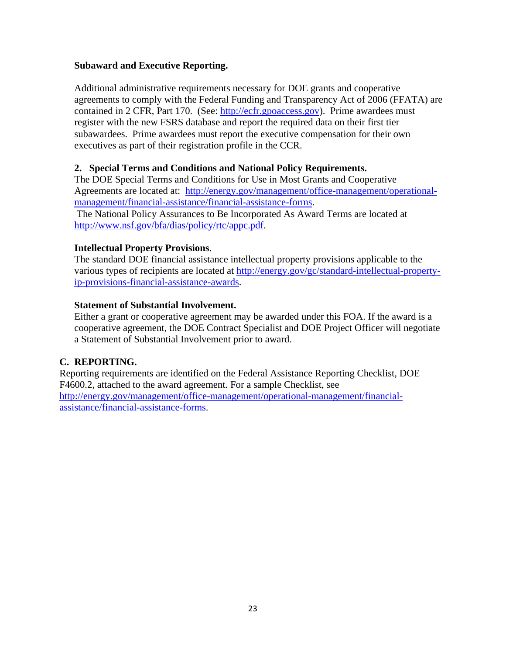#### **Subaward and Executive Reporting.**

Additional administrative requirements necessary for DOE grants and cooperative agreements to comply with the Federal Funding and Transparency Act of 2006 (FFATA) are contained in 2 CFR, Part 170. (See: http://ecfr.gpoaccess.gov). Prime awardees must register with the new FSRS database and report the required data on their first tier subawardees. Prime awardees must report the executive compensation for their own executives as part of their registration profile in the CCR.

## **2. Special Terms and Conditions and National Policy Requirements.**

The DOE Special Terms and Conditions for Use in Most Grants and Cooperative Agreements are located at: http://energy.gov/management/office-management/operationalmanagement/financial-assistance/financial-assistance-forms. The National Policy Assurances to Be Incorporated As Award Terms are located at http://www.nsf.gov/bfa/dias/policy/rtc/appc.pdf.

#### **Intellectual Property Provisions**.

The standard DOE financial assistance intellectual property provisions applicable to the various types of recipients are located at http://energy.gov/gc/standard-intellectual-propertyip-provisions-financial-assistance-awards.

#### **Statement of Substantial Involvement.**

Either a grant or cooperative agreement may be awarded under this FOA. If the award is a cooperative agreement, the DOE Contract Specialist and DOE Project Officer will negotiate a Statement of Substantial Involvement prior to award.

## **C. REPORTING.**

Reporting requirements are identified on the Federal Assistance Reporting Checklist, DOE F4600.2, attached to the award agreement. For a sample Checklist, see http://energy.gov/management/office-management/operational-management/financialassistance/financial-assistance-forms.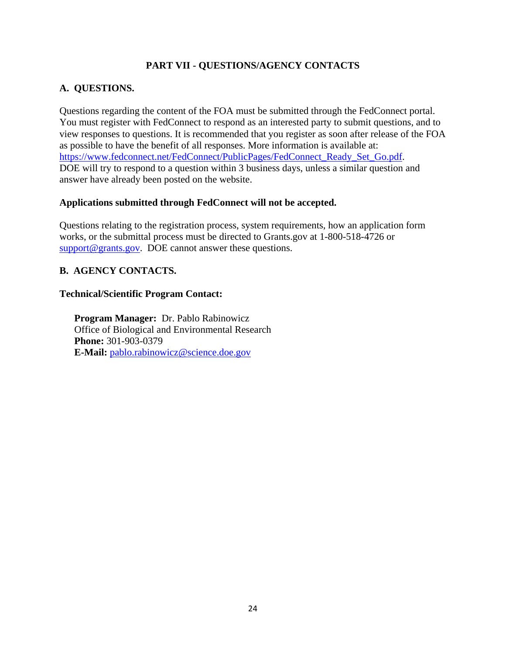## **PART VII - QUESTIONS/AGENCY CONTACTS**

## **A. QUESTIONS.**

Questions regarding the content of the FOA must be submitted through the FedConnect portal. You must register with FedConnect to respond as an interested party to submit questions, and to view responses to questions. It is recommended that you register as soon after release of the FOA as possible to have the benefit of all responses. More information is available at: https://www.fedconnect.net/FedConnect/PublicPages/FedConnect\_Ready\_Set\_Go.pdf. DOE will try to respond to a question within 3 business days, unless a similar question and answer have already been posted on the website.

#### **Applications submitted through FedConnect will not be accepted.**

Questions relating to the registration process, system requirements, how an application form works, or the submittal process must be directed to Grants.gov at 1-800-518-4726 or support@grants.gov. DOE cannot answer these questions.

## **B. AGENCY CONTACTS.**

#### **Technical/Scientific Program Contact:**

**Program Manager:** Dr. Pablo Rabinowicz Office of Biological and Environmental Research **Phone:** 301-903-0379 **E-Mail:** pablo.rabinowicz@science.doe.gov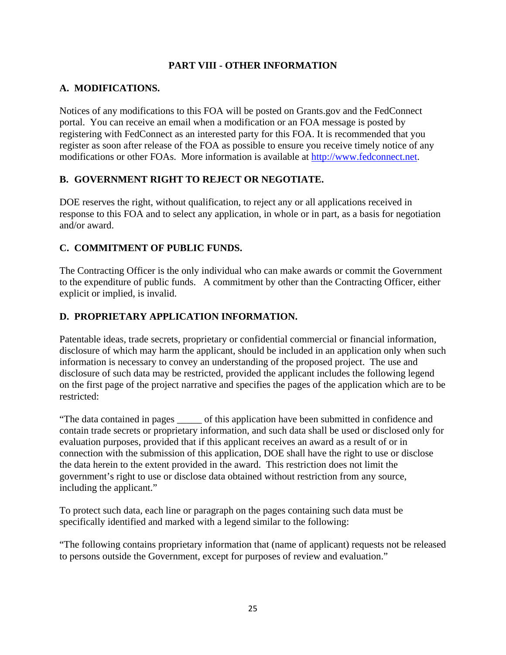## **PART VIII - OTHER INFORMATION**

## **A. MODIFICATIONS.**

Notices of any modifications to this FOA will be posted on Grants.gov and the FedConnect portal. You can receive an email when a modification or an FOA message is posted by registering with FedConnect as an interested party for this FOA. It is recommended that you register as soon after release of the FOA as possible to ensure you receive timely notice of any modifications or other FOAs. More information is available at http://www.fedconnect.net.

## **B. GOVERNMENT RIGHT TO REJECT OR NEGOTIATE.**

DOE reserves the right, without qualification, to reject any or all applications received in response to this FOA and to select any application, in whole or in part, as a basis for negotiation and/or award.

## **C. COMMITMENT OF PUBLIC FUNDS.**

The Contracting Officer is the only individual who can make awards or commit the Government to the expenditure of public funds. A commitment by other than the Contracting Officer, either explicit or implied, is invalid.

## **D. PROPRIETARY APPLICATION INFORMATION.**

Patentable ideas, trade secrets, proprietary or confidential commercial or financial information, disclosure of which may harm the applicant, should be included in an application only when such information is necessary to convey an understanding of the proposed project. The use and disclosure of such data may be restricted, provided the applicant includes the following legend on the first page of the project narrative and specifies the pages of the application which are to be restricted:

"The data contained in pages \_\_\_\_\_ of this application have been submitted in confidence and contain trade secrets or proprietary information, and such data shall be used or disclosed only for evaluation purposes, provided that if this applicant receives an award as a result of or in connection with the submission of this application, DOE shall have the right to use or disclose the data herein to the extent provided in the award. This restriction does not limit the government's right to use or disclose data obtained without restriction from any source, including the applicant."

To protect such data, each line or paragraph on the pages containing such data must be specifically identified and marked with a legend similar to the following:

"The following contains proprietary information that (name of applicant) requests not be released to persons outside the Government, except for purposes of review and evaluation."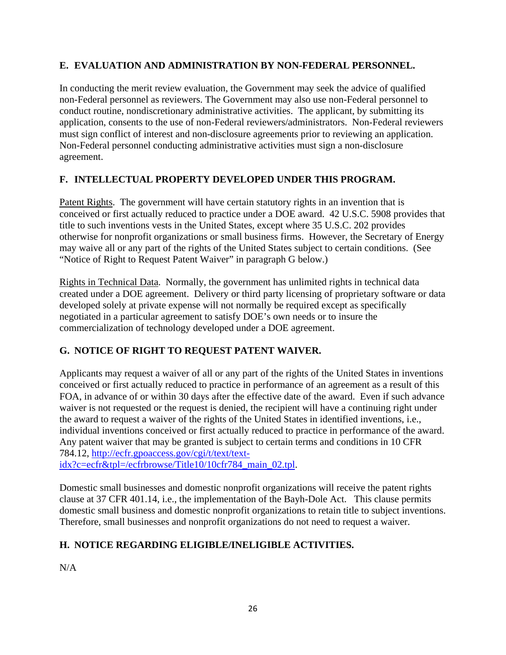## **E. EVALUATION AND ADMINISTRATION BY NON-FEDERAL PERSONNEL.**

In conducting the merit review evaluation, the Government may seek the advice of qualified non-Federal personnel as reviewers. The Government may also use non-Federal personnel to conduct routine, nondiscretionary administrative activities. The applicant, by submitting its application, consents to the use of non-Federal reviewers/administrators. Non-Federal reviewers must sign conflict of interest and non-disclosure agreements prior to reviewing an application. Non-Federal personnel conducting administrative activities must sign a non-disclosure agreement.

## **F. INTELLECTUAL PROPERTY DEVELOPED UNDER THIS PROGRAM.**

Patent Rights. The government will have certain statutory rights in an invention that is conceived or first actually reduced to practice under a DOE award. 42 U.S.C. 5908 provides that title to such inventions vests in the United States, except where 35 U.S.C. 202 provides otherwise for nonprofit organizations or small business firms. However, the Secretary of Energy may waive all or any part of the rights of the United States subject to certain conditions. (See "Notice of Right to Request Patent Waiver" in paragraph G below.)

Rights in Technical Data. Normally, the government has unlimited rights in technical data created under a DOE agreement. Delivery or third party licensing of proprietary software or data developed solely at private expense will not normally be required except as specifically negotiated in a particular agreement to satisfy DOE's own needs or to insure the commercialization of technology developed under a DOE agreement.

## **G. NOTICE OF RIGHT TO REQUEST PATENT WAIVER.**

Applicants may request a waiver of all or any part of the rights of the United States in inventions conceived or first actually reduced to practice in performance of an agreement as a result of this FOA, in advance of or within 30 days after the effective date of the award. Even if such advance waiver is not requested or the request is denied, the recipient will have a continuing right under the award to request a waiver of the rights of the United States in identified inventions, i.e., individual inventions conceived or first actually reduced to practice in performance of the award. Any patent waiver that may be granted is subject to certain terms and conditions in 10 CFR 784.12, http://ecfr.gpoaccess.gov/cgi/t/text/textidx?c=ecfr&tpl=/ecfrbrowse/Title10/10cfr784\_main\_02.tpl.

Domestic small businesses and domestic nonprofit organizations will receive the patent rights clause at 37 CFR 401.14, i.e., the implementation of the Bayh-Dole Act. This clause permits domestic small business and domestic nonprofit organizations to retain title to subject inventions. Therefore, small businesses and nonprofit organizations do not need to request a waiver.

## **H. NOTICE REGARDING ELIGIBLE/INELIGIBLE ACTIVITIES.**

N/A